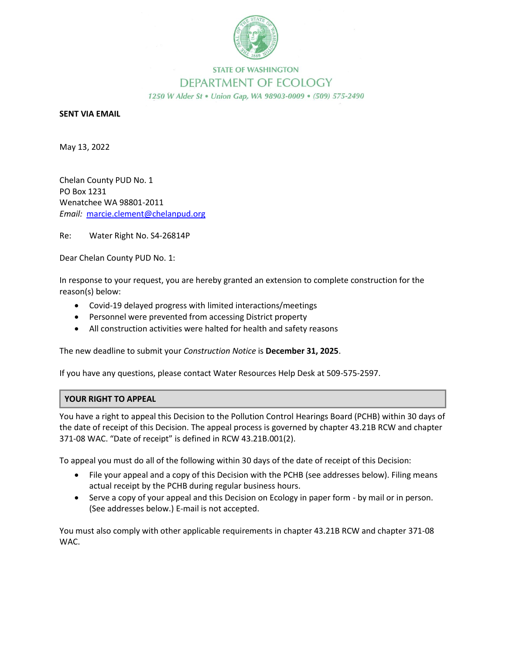

## **STATE OF WASHINGTON** DEPARTMENT OF ECOLOGY 1250 W Alder St . Union Gap, WA 98903-0009 . (509) 575-2490

## **SENT VIA EMAIL**

May 13, 2022

Chelan County PUD No. 1 PO Box 1231 Wenatchee WA 98801-2011 *Email:* marcie.clement@chelanpud.org

Re: Water Right No. S4-26814P

Dear Chelan County PUD No. 1:

In response to your request, you are hereby granted an extension to complete construction for the reason(s) below:

- Covid-19 delayed progress with limited interactions/meetings
- Personnel were prevented from accessing District property
- All construction activities were halted for health and safety reasons

The new deadline to submit your *Construction Notice* is **December 31, 2025**.

If you have any questions, please contact Water Resources Help Desk at 509-575-2597.

## **YOUR RIGHT TO APPEAL**

You have a right to appeal this Decision to the Pollution Control Hearings Board (PCHB) within 30 days of the date of receipt of this Decision. The appeal process is governed by chapter 43.21B RCW and chapter 371-08 WAC. "Date of receipt" is defined in RCW 43.21B.001(2).

To appeal you must do all of the following within 30 days of the date of receipt of this Decision:

- File your appeal and a copy of this Decision with the PCHB (see addresses below). Filing means actual receipt by the PCHB during regular business hours.
- Serve a copy of your appeal and this Decision on Ecology in paper form by mail or in person. (See addresses below.) E-mail is not accepted.

You must also comply with other applicable requirements in chapter 43.21B RCW and chapter 371-08 WAC.